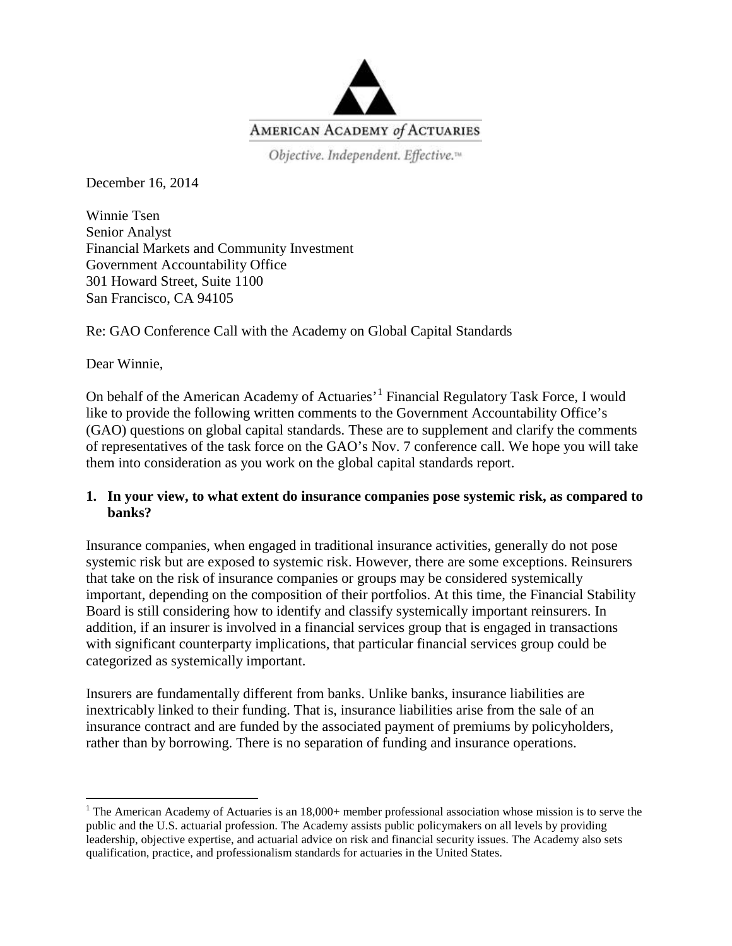

Objective. Independent. Effective.<sup>14</sup>

December 16, 2014

Winnie Tsen Senior Analyst Financial Markets and Community Investment Government Accountability Office 301 Howard Street, Suite 1100 San Francisco, CA 94105

Re: GAO Conference Call with the Academy on Global Capital Standards

Dear Winnie,

On behalf of the American Academy of Actuaries<sup>, [1](#page-0-0)</sup> Financial Regulatory Task Force, I would like to provide the following written comments to the Government Accountability Office's (GAO) questions on global capital standards. These are to supplement and clarify the comments of representatives of the task force on the GAO's Nov. 7 conference call. We hope you will take them into consideration as you work on the global capital standards report.

#### **1. In your view, to what extent do insurance companies pose systemic risk, as compared to banks?**

Insurance companies, when engaged in traditional insurance activities, generally do not pose systemic risk but are exposed to systemic risk. However, there are some exceptions. Reinsurers that take on the risk of insurance companies or groups may be considered systemically important, depending on the composition of their portfolios. At this time, the Financial Stability Board is still considering how to identify and classify systemically important reinsurers. In addition, if an insurer is involved in a financial services group that is engaged in transactions with significant counterparty implications, that particular financial services group could be categorized as systemically important.

Insurers are fundamentally different from banks. Unlike banks, insurance liabilities are inextricably linked to their funding. That is, insurance liabilities arise from the sale of an insurance contract and are funded by the associated payment of premiums by policyholders, rather than by borrowing. There is no separation of funding and insurance operations.

<span id="page-0-0"></span><sup>&</sup>lt;sup>1</sup> The American Academy of Actuaries is an  $18,000+$  member professional association whose mission is to serve the public and the U.S. actuarial profession. The Academy assists public policymakers on all levels by providing leadership, objective expertise, and actuarial advice on risk and financial security issues. The Academy also sets qualification, practice, and professionalism standards for actuaries in the United States.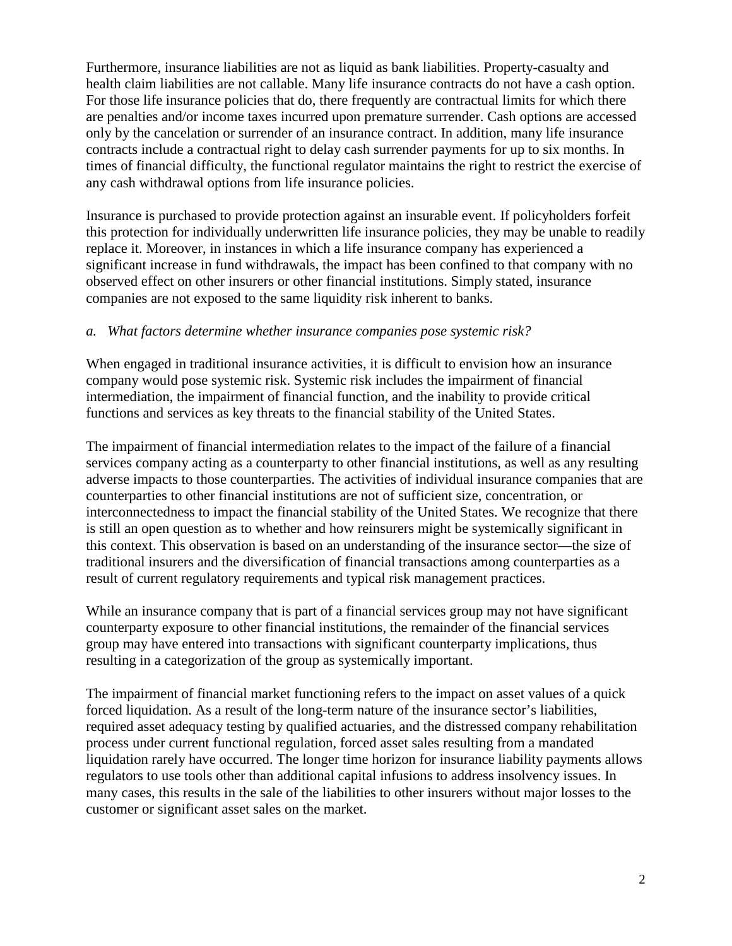Furthermore, insurance liabilities are not as liquid as bank liabilities. Property-casualty and health claim liabilities are not callable. Many life insurance contracts do not have a cash option. For those life insurance policies that do, there frequently are contractual limits for which there are penalties and/or income taxes incurred upon premature surrender. Cash options are accessed only by the cancelation or surrender of an insurance contract. In addition, many life insurance contracts include a contractual right to delay cash surrender payments for up to six months. In times of financial difficulty, the functional regulator maintains the right to restrict the exercise of any cash withdrawal options from life insurance policies.

Insurance is purchased to provide protection against an insurable event. If policyholders forfeit this protection for individually underwritten life insurance policies, they may be unable to readily replace it. Moreover, in instances in which a life insurance company has experienced a significant increase in fund withdrawals, the impact has been confined to that company with no observed effect on other insurers or other financial institutions. Simply stated, insurance companies are not exposed to the same liquidity risk inherent to banks.

#### *a. What factors determine whether insurance companies pose systemic risk?*

When engaged in traditional insurance activities, it is difficult to envision how an insurance company would pose systemic risk. Systemic risk includes the impairment of financial intermediation, the impairment of financial function, and the inability to provide critical functions and services as key threats to the financial stability of the United States.

The impairment of financial intermediation relates to the impact of the failure of a financial services company acting as a counterparty to other financial institutions, as well as any resulting adverse impacts to those counterparties. The activities of individual insurance companies that are counterparties to other financial institutions are not of sufficient size, concentration, or interconnectedness to impact the financial stability of the United States. We recognize that there is still an open question as to whether and how reinsurers might be systemically significant in this context. This observation is based on an understanding of the insurance sector—the size of traditional insurers and the diversification of financial transactions among counterparties as a result of current regulatory requirements and typical risk management practices.

While an insurance company that is part of a financial services group may not have significant counterparty exposure to other financial institutions, the remainder of the financial services group may have entered into transactions with significant counterparty implications, thus resulting in a categorization of the group as systemically important.

The impairment of financial market functioning refers to the impact on asset values of a quick forced liquidation. As a result of the long-term nature of the insurance sector's liabilities, required asset adequacy testing by qualified actuaries, and the distressed company rehabilitation process under current functional regulation, forced asset sales resulting from a mandated liquidation rarely have occurred. The longer time horizon for insurance liability payments allows regulators to use tools other than additional capital infusions to address insolvency issues. In many cases, this results in the sale of the liabilities to other insurers without major losses to the customer or significant asset sales on the market.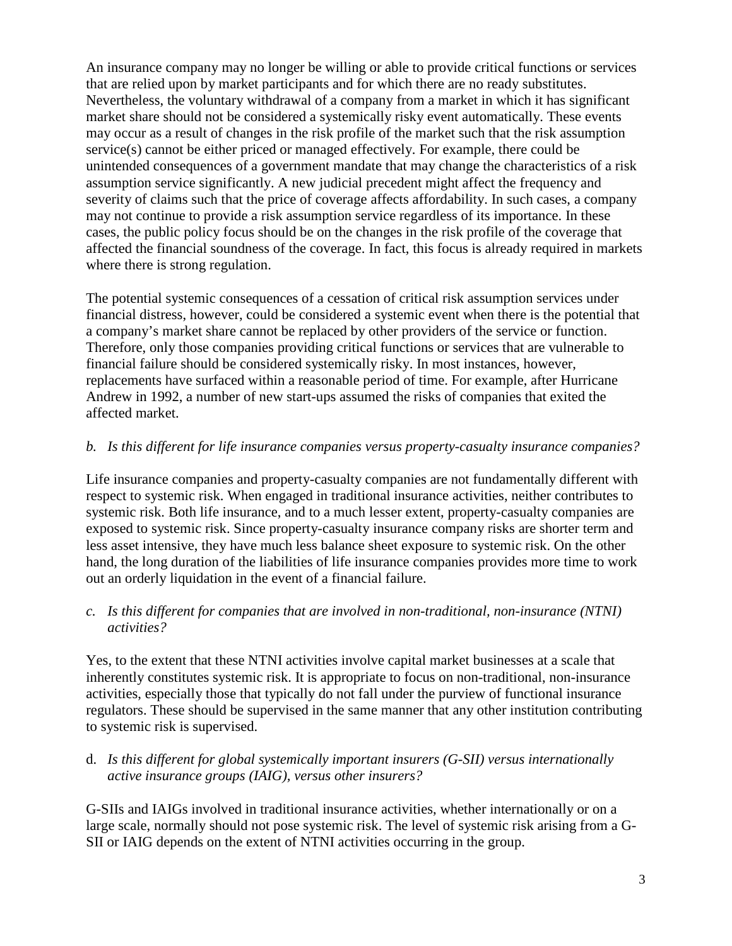An insurance company may no longer be willing or able to provide critical functions or services that are relied upon by market participants and for which there are no ready substitutes. Nevertheless, the voluntary withdrawal of a company from a market in which it has significant market share should not be considered a systemically risky event automatically. These events may occur as a result of changes in the risk profile of the market such that the risk assumption service(s) cannot be either priced or managed effectively. For example, there could be unintended consequences of a government mandate that may change the characteristics of a risk assumption service significantly. A new judicial precedent might affect the frequency and severity of claims such that the price of coverage affects affordability. In such cases, a company may not continue to provide a risk assumption service regardless of its importance. In these cases, the public policy focus should be on the changes in the risk profile of the coverage that affected the financial soundness of the coverage. In fact, this focus is already required in markets where there is strong regulation.

The potential systemic consequences of a cessation of critical risk assumption services under financial distress, however, could be considered a systemic event when there is the potential that a company's market share cannot be replaced by other providers of the service or function. Therefore, only those companies providing critical functions or services that are vulnerable to financial failure should be considered systemically risky. In most instances, however, replacements have surfaced within a reasonable period of time. For example, after Hurricane Andrew in 1992, a number of new start-ups assumed the risks of companies that exited the affected market.

# *b. Is this different for life insurance companies versus property-casualty insurance companies?*

Life insurance companies and property-casualty companies are not fundamentally different with respect to systemic risk. When engaged in traditional insurance activities, neither contributes to systemic risk. Both life insurance, and to a much lesser extent, property-casualty companies are exposed to systemic risk. Since property-casualty insurance company risks are shorter term and less asset intensive, they have much less balance sheet exposure to systemic risk. On the other hand, the long duration of the liabilities of life insurance companies provides more time to work out an orderly liquidation in the event of a financial failure.

#### *c. Is this different for companies that are involved in non-traditional, non-insurance (NTNI) activities?*

Yes, to the extent that these NTNI activities involve capital market businesses at a scale that inherently constitutes systemic risk. It is appropriate to focus on non-traditional, non-insurance activities, especially those that typically do not fall under the purview of functional insurance regulators. These should be supervised in the same manner that any other institution contributing to systemic risk is supervised.

# d. *Is this different for global systemically important insurers (G-SII) versus internationally active insurance groups (IAIG), versus other insurers?*

G-SIIs and IAIGs involved in traditional insurance activities, whether internationally or on a large scale, normally should not pose systemic risk. The level of systemic risk arising from a G-SII or IAIG depends on the extent of NTNI activities occurring in the group.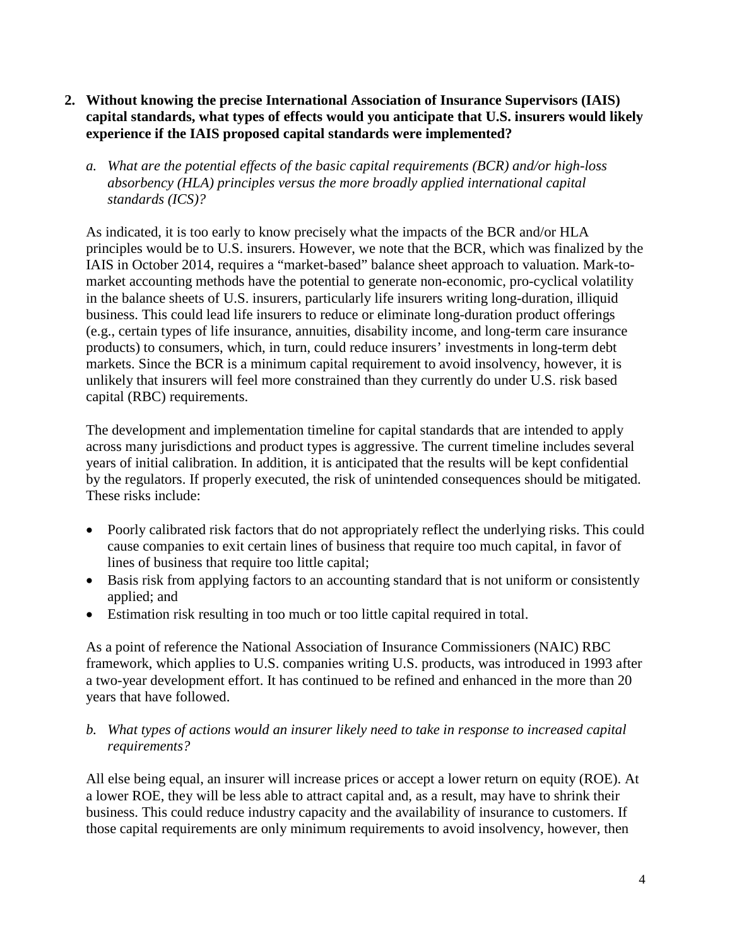- **2. Without knowing the precise International Association of Insurance Supervisors (IAIS) capital standards, what types of effects would you anticipate that U.S. insurers would likely experience if the IAIS proposed capital standards were implemented?** 
	- *a. What are the potential effects of the basic capital requirements (BCR) and/or high-loss absorbency (HLA) principles versus the more broadly applied international capital standards (ICS)?*

As indicated, it is too early to know precisely what the impacts of the BCR and/or HLA principles would be to U.S. insurers. However, we note that the BCR, which was finalized by the IAIS in October 2014, requires a "market-based" balance sheet approach to valuation. Mark-tomarket accounting methods have the potential to generate non-economic, pro-cyclical volatility in the balance sheets of U.S. insurers, particularly life insurers writing long-duration, illiquid business. This could lead life insurers to reduce or eliminate long-duration product offerings (e.g., certain types of life insurance, annuities, disability income, and long-term care insurance products) to consumers, which, in turn, could reduce insurers' investments in long-term debt markets. Since the BCR is a minimum capital requirement to avoid insolvency, however, it is unlikely that insurers will feel more constrained than they currently do under U.S. risk based capital (RBC) requirements.

The development and implementation timeline for capital standards that are intended to apply across many jurisdictions and product types is aggressive. The current timeline includes several years of initial calibration. In addition, it is anticipated that the results will be kept confidential by the regulators. If properly executed, the risk of unintended consequences should be mitigated. These risks include:

- Poorly calibrated risk factors that do not appropriately reflect the underlying risks. This could cause companies to exit certain lines of business that require too much capital, in favor of lines of business that require too little capital;
- Basis risk from applying factors to an accounting standard that is not uniform or consistently applied; and
- Estimation risk resulting in too much or too little capital required in total.

As a point of reference the National Association of Insurance Commissioners (NAIC) RBC framework, which applies to U.S. companies writing U.S. products, was introduced in 1993 after a two-year development effort. It has continued to be refined and enhanced in the more than 20 years that have followed.

#### *b. What types of actions would an insurer likely need to take in response to increased capital requirements?*

All else being equal, an insurer will increase prices or accept a lower return on equity (ROE). At a lower ROE, they will be less able to attract capital and, as a result, may have to shrink their business. This could reduce industry capacity and the availability of insurance to customers. If those capital requirements are only minimum requirements to avoid insolvency, however, then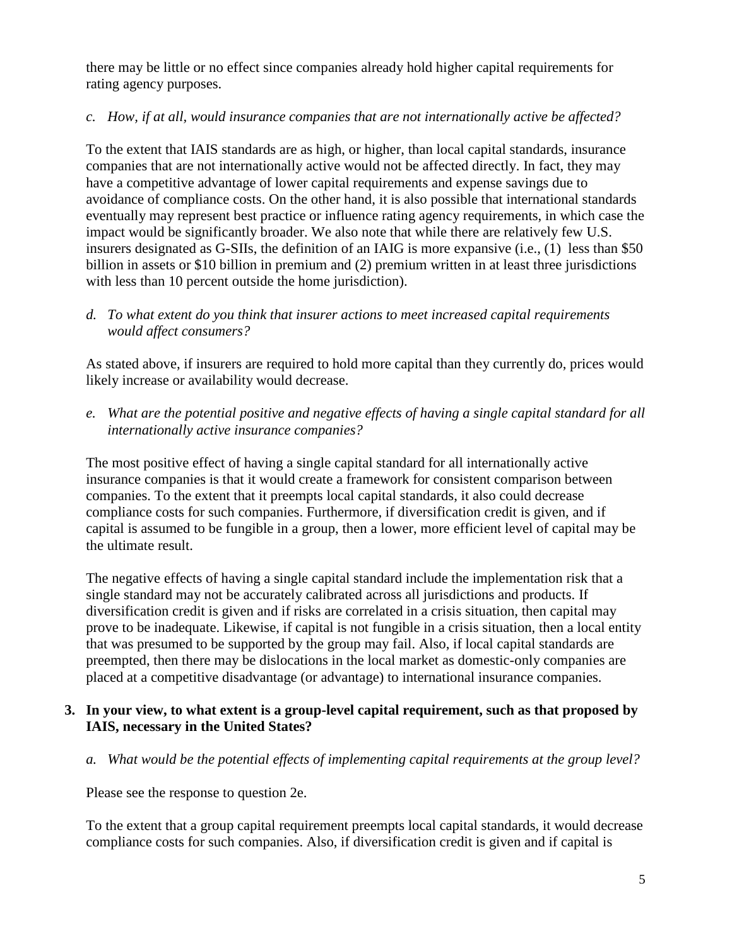there may be little or no effect since companies already hold higher capital requirements for rating agency purposes.

#### *c. How, if at all, would insurance companies that are not internationally active be affected?*

To the extent that IAIS standards are as high, or higher, than local capital standards, insurance companies that are not internationally active would not be affected directly. In fact, they may have a competitive advantage of lower capital requirements and expense savings due to avoidance of compliance costs. On the other hand, it is also possible that international standards eventually may represent best practice or influence rating agency requirements, in which case the impact would be significantly broader. We also note that while there are relatively few U.S. insurers designated as G-SIIs, the definition of an IAIG is more expansive (i.e., (1) less than \$50 billion in assets or \$10 billion in premium and (2) premium written in at least three jurisdictions with less than 10 percent outside the home jurisdiction).

# *d. To what extent do you think that insurer actions to meet increased capital requirements would affect consumers?*

As stated above, if insurers are required to hold more capital than they currently do, prices would likely increase or availability would decrease.

*e. What are the potential positive and negative effects of having a single capital standard for all internationally active insurance companies?* 

The most positive effect of having a single capital standard for all internationally active insurance companies is that it would create a framework for consistent comparison between companies. To the extent that it preempts local capital standards, it also could decrease compliance costs for such companies. Furthermore, if diversification credit is given, and if capital is assumed to be fungible in a group, then a lower, more efficient level of capital may be the ultimate result.

The negative effects of having a single capital standard include the implementation risk that a single standard may not be accurately calibrated across all jurisdictions and products. If diversification credit is given and if risks are correlated in a crisis situation, then capital may prove to be inadequate. Likewise, if capital is not fungible in a crisis situation, then a local entity that was presumed to be supported by the group may fail. Also, if local capital standards are preempted, then there may be dislocations in the local market as domestic-only companies are placed at a competitive disadvantage (or advantage) to international insurance companies.

# **3. In your view, to what extent is a group-level capital requirement, such as that proposed by IAIS, necessary in the United States?**

*a. What would be the potential effects of implementing capital requirements at the group level?* 

Please see the response to question 2e.

To the extent that a group capital requirement preempts local capital standards, it would decrease compliance costs for such companies. Also, if diversification credit is given and if capital is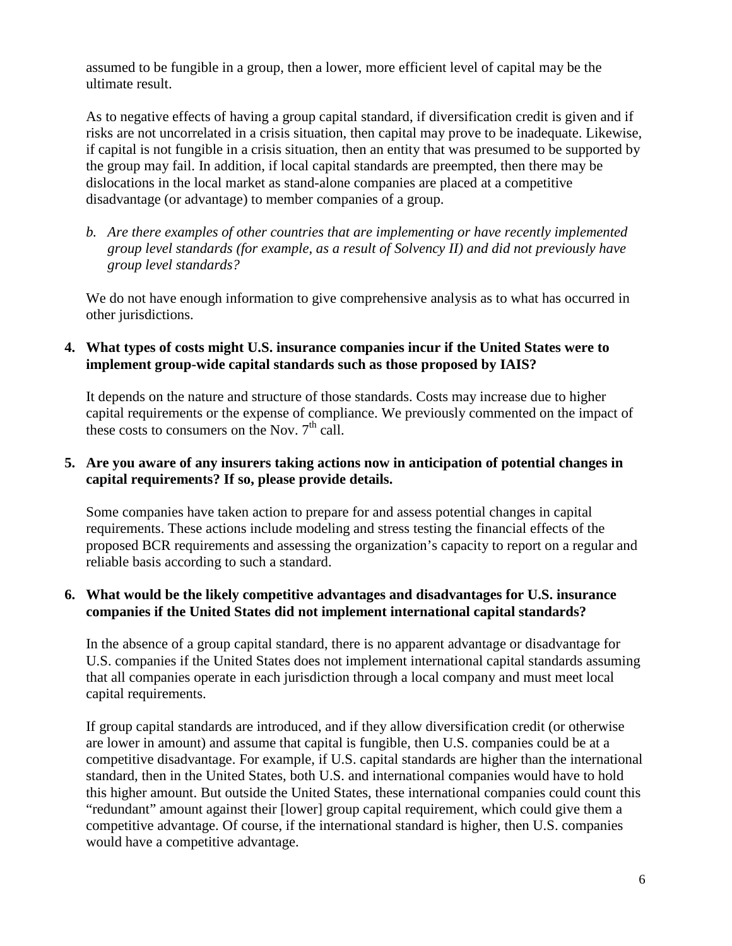assumed to be fungible in a group, then a lower, more efficient level of capital may be the ultimate result.

As to negative effects of having a group capital standard, if diversification credit is given and if risks are not uncorrelated in a crisis situation, then capital may prove to be inadequate. Likewise, if capital is not fungible in a crisis situation, then an entity that was presumed to be supported by the group may fail. In addition, if local capital standards are preempted, then there may be dislocations in the local market as stand-alone companies are placed at a competitive disadvantage (or advantage) to member companies of a group.

*b. Are there examples of other countries that are implementing or have recently implemented group level standards (for example, as a result of Solvency II) and did not previously have group level standards?*

We do not have enough information to give comprehensive analysis as to what has occurred in other jurisdictions.

# **4. What types of costs might U.S. insurance companies incur if the United States were to implement group-wide capital standards such as those proposed by IAIS?**

It depends on the nature and structure of those standards. Costs may increase due to higher capital requirements or the expense of compliance. We previously commented on the impact of these costs to consumers on the Nov.  $7<sup>th</sup>$  call.

# **5. Are you aware of any insurers taking actions now in anticipation of potential changes in capital requirements? If so, please provide details.**

Some companies have taken action to prepare for and assess potential changes in capital requirements. These actions include modeling and stress testing the financial effects of the proposed BCR requirements and assessing the organization's capacity to report on a regular and reliable basis according to such a standard.

# **6. What would be the likely competitive advantages and disadvantages for U.S. insurance companies if the United States did not implement international capital standards?**

In the absence of a group capital standard, there is no apparent advantage or disadvantage for U.S. companies if the United States does not implement international capital standards assuming that all companies operate in each jurisdiction through a local company and must meet local capital requirements.

If group capital standards are introduced, and if they allow diversification credit (or otherwise are lower in amount) and assume that capital is fungible, then U.S. companies could be at a competitive disadvantage. For example, if U.S. capital standards are higher than the international standard, then in the United States, both U.S. and international companies would have to hold this higher amount. But outside the United States, these international companies could count this "redundant" amount against their [lower] group capital requirement, which could give them a competitive advantage. Of course, if the international standard is higher, then U.S. companies would have a competitive advantage.